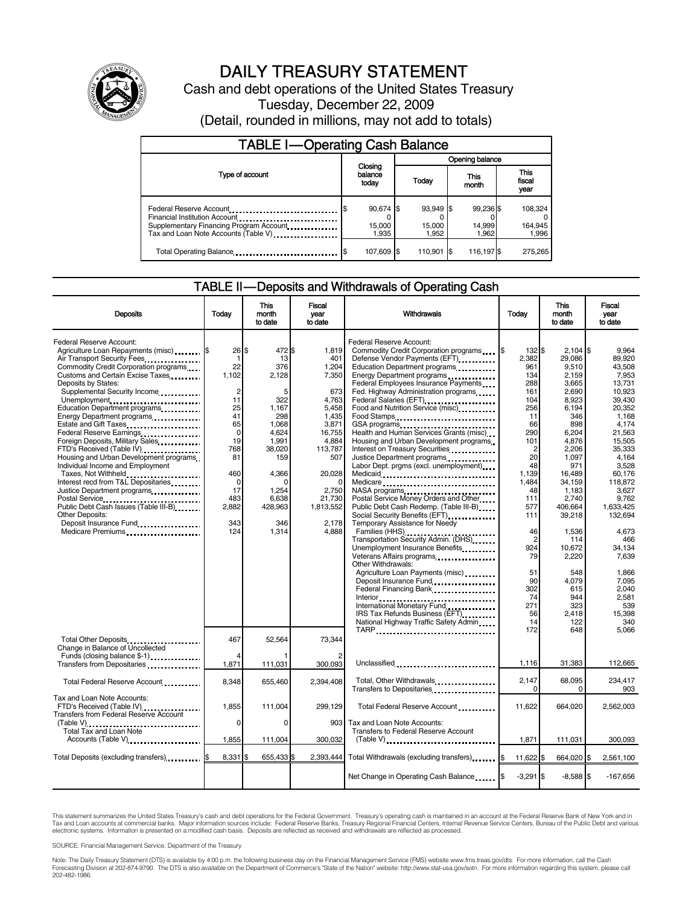

# DAILY TREASURY STATEMENT

Cash and debt operations of the United States Treasury Tuesday, December 22, 2009 (Detail, rounded in millions, may not add to totals)

| <b>TABLE I-Operating Cash Balance</b>                                                                       |                              |                              |                              |                             |  |  |  |  |
|-------------------------------------------------------------------------------------------------------------|------------------------------|------------------------------|------------------------------|-----------------------------|--|--|--|--|
|                                                                                                             |                              |                              | Opening balance              |                             |  |  |  |  |
| Type of account                                                                                             | Closing<br>balance<br>today  | Today                        | This<br>month                | This<br>fiscal<br>year      |  |  |  |  |
| Federal Reserve Account<br>Supplementary Financing Program Account.<br>Tax and Loan Note Accounts (Table V) | 90,674 \$<br>15,000<br>1.935 | 93.949 \$<br>15.000<br>1.952 | 99.236 \$<br>14.999<br>1.962 | 108,324<br>164,945<br>1,996 |  |  |  |  |
| Total Operating Balance                                                                                     | 107,609 \$                   | 110.901 \$                   | 116,197 \$                   | 275.265                     |  |  |  |  |

### TABLE II — Deposits and Withdrawals of Operating Cash

| <b>Deposits</b>                                                                                                                                                                                                                                                                                                                                                                                                                           | Todav                                                                                                       | This<br>month<br>to date                                                                     | <b>Fiscal</b><br>vear<br>to date                                                                        | Withdrawals                                                                                                                                                                                                                                                                                                                                                                                                                                                                                                                                                                                                                                                                      | Todav                                                                                                 | <b>This</b><br>month<br>to date                                                                                     | <b>Fiscal</b><br>vear<br>to date                                                                                           |
|-------------------------------------------------------------------------------------------------------------------------------------------------------------------------------------------------------------------------------------------------------------------------------------------------------------------------------------------------------------------------------------------------------------------------------------------|-------------------------------------------------------------------------------------------------------------|----------------------------------------------------------------------------------------------|---------------------------------------------------------------------------------------------------------|----------------------------------------------------------------------------------------------------------------------------------------------------------------------------------------------------------------------------------------------------------------------------------------------------------------------------------------------------------------------------------------------------------------------------------------------------------------------------------------------------------------------------------------------------------------------------------------------------------------------------------------------------------------------------------|-------------------------------------------------------------------------------------------------------|---------------------------------------------------------------------------------------------------------------------|----------------------------------------------------------------------------------------------------------------------------|
| Federal Reserve Account:<br>Agriculture Loan Repayments (misc) [5<br>Air Transport Security Fees<br>Commodity Credit Corporation programs<br>Customs and Certain Excise Taxes<br>Deposits by States:<br>Supplemental Security Income<br>Unemployment<br>Education Department programs<br>Energy Department programs<br>Estate and Gift Taxes<br>Federal Reserve Earnings<br>Foreign Deposits, Military Sales<br>FTD's Received (Table IV) | $26$ \$<br>$\mathbf 1$<br>22<br>1.102<br>$\overline{2}$<br>11<br>25<br>41<br>65<br>$\mathbf 0$<br>19<br>768 | 472\$<br>13<br>376<br>2,128<br>5<br>322<br>1,167<br>298<br>1,068<br>4.624<br>1.991<br>38,020 | 1.819<br>401<br>1,204<br>7,350<br>673<br>4,763<br>5.458<br>1,435<br>3,871<br>16,755<br>4.884<br>113,787 | Federal Reserve Account:<br>Commodity Credit Corporation programs<br>Defense Vendor Payments (EFT)<br>Education Department programs<br>Energy Department programs<br>Federal Employees Insurance Payments<br>Fed. Highway Administration programs<br>Federal Salaries (EFT)<br>1991 - Production Contract Contract Contract Contract Contract Contract Contract Contract Contract Contract Contract Contract Contract Contract Contract Contract Contract Contract Contract Contract<br>Food and Nutrition Service (misc)<br>Food Stamps<br>GSA programs<br>Health and Human Services Grants (misc)<br>Housing and Urban Development programs<br>Interest on Treasury Securities | 132 \$<br>2.382<br>961<br>134<br>288<br>161<br>104<br>256<br>11<br>66<br>290<br>101<br>$\overline{2}$ | $2,104$ \$<br>29.086<br>9,510<br>2.159<br>3.665<br>2,690<br>8,923<br>6,194<br>346<br>898<br>6,204<br>4.876<br>2,206 | 9.964<br>89.920<br>43,508<br>7.953<br>13.731<br>10.923<br>39.430<br>20.352<br>1.168<br>4.174<br>21.563<br>15.505<br>35,333 |
| Housing and Urban Development programs<br>Individual Income and Employment<br>Taxes, Not Withheld<br>Interest recd from T&L Depositaries<br>Public Debt Cash Issues (Table III-B)<br>Other Deposits:<br>Deposit Insurance Fund<br>Medicare Premiums                                                                                                                                                                                       | 81<br>460<br>$\mathbf 0$<br>17<br>483<br>2,882<br>343<br>124                                                | 159<br>4.366<br>n<br>1,254<br>6.638<br>428,963<br>346<br>1,314                               | 507<br>20.028<br>$\Omega$<br>2,750<br>21.730<br>1,813,552<br>2,178<br>4.888                             | Justice Department programs<br>Labor Dept. prgms (excl. unemployment)<br>Medicaid<br>Medicare<br>NASA programs<br>Postal Service Money Orders and Other<br>Public Debt Cash Redemp. (Table III-B)<br>Social Security Benefits (EFT)<br>Temporary Assistance for Needy<br>Families (HHS)<br>Transportation Security Admin. (DHS)<br>Unemployment Insurance Benefits                                                                                                                                                                                                                                                                                                               | 20<br>48<br>1.139<br>1,484<br>48<br>111<br>577<br>111<br>46<br>$\overline{2}$<br>924                  | 1.097<br>971<br>16.489<br>34,159<br>1,183<br>2.740<br>406,664<br>39,218<br>1.536<br>114<br>10,672                   | 4.164<br>3.528<br>60.176<br>118,872<br>3.627<br>9.762<br>1,633,425<br>132,694<br>4.673<br>466<br>34,134                    |
| Total Other Deposits                                                                                                                                                                                                                                                                                                                                                                                                                      | 467                                                                                                         | 52,564                                                                                       | 73.344                                                                                                  | Veterans Affairs programs<br>Other Withdrawals:<br>Agriculture Loan Payments (misc)<br>Federal Financing Bank<br>International Monetary Fund<br>IRS Tax Refunds Business (EFT).<br>National Highway Traffic Safety Admin<br>TARP                                                                                                                                                                                                                                                                                                                                                                                                                                                 | 79<br>51<br>90<br>302<br>74<br>271<br>56<br>14<br>172                                                 | 2,220<br>548<br>4.079<br>615<br>944<br>323<br>2.418<br>122<br>648                                                   | 7.639<br>1,866<br>7.095<br>2.040<br>2,581<br>539<br>15.398<br>340<br>5,066                                                 |
| Change in Balance of Uncollected<br>Funds (closing balance \$-1)<br>Transfers from Depositaries <b>constructs</b>                                                                                                                                                                                                                                                                                                                         | 1,871                                                                                                       | 111,031                                                                                      | 300,093                                                                                                 | Unclassified                                                                                                                                                                                                                                                                                                                                                                                                                                                                                                                                                                                                                                                                     | 1,116                                                                                                 | 31,383                                                                                                              | 112,665                                                                                                                    |
| Total Federal Reserve Account                                                                                                                                                                                                                                                                                                                                                                                                             | 8,348                                                                                                       | 655,460                                                                                      | 2.394.408                                                                                               | Total, Other Withdrawals<br>Transfers to Depositaries                                                                                                                                                                                                                                                                                                                                                                                                                                                                                                                                                                                                                            | 2.147<br>$\Omega$                                                                                     | 68.095<br>$\Omega$                                                                                                  | 234,417<br>903                                                                                                             |
| Tax and Loan Note Accounts:<br>FTD's Received (Table IV)<br><b>Transfers from Federal Reserve Account</b><br>(Table V)<br>Total Tax and Loan Note<br>Accounts (Table V)                                                                                                                                                                                                                                                                   | 1,855<br>$\mathbf 0$<br>1,855                                                                               | 111,004<br>0<br>111,004                                                                      | 299,129<br>903<br>300,032                                                                               | Total Federal Reserve Account<br>Tax and Loan Note Accounts:<br>Transfers to Federal Reserve Account                                                                                                                                                                                                                                                                                                                                                                                                                                                                                                                                                                             | 11,622<br>1,871                                                                                       | 664,020<br>111,031                                                                                                  | 2,562,003<br>300,093                                                                                                       |
| Total Deposits (excluding transfers)                                                                                                                                                                                                                                                                                                                                                                                                      | 8,331                                                                                                       | 655,433 \$                                                                                   | 2,393,444                                                                                               | Total Withdrawals (excluding transfers) [\$                                                                                                                                                                                                                                                                                                                                                                                                                                                                                                                                                                                                                                      | 11,622 \$                                                                                             | 664,020 \$                                                                                                          | 2,561,100                                                                                                                  |
|                                                                                                                                                                                                                                                                                                                                                                                                                                           |                                                                                                             |                                                                                              |                                                                                                         | Net Change in Operating Cash Balance                                                                                                                                                                                                                                                                                                                                                                                                                                                                                                                                                                                                                                             | $-3,291$ \$                                                                                           | $-8,588$ \$                                                                                                         | $-167,656$                                                                                                                 |

This statement summarizes the United States Treasury's cash and debt operations for the Federal Government. Treasury's operating cash is maintained in an account at the Federal Reserve Bank of New York and in<br>Tax and Loan

SOURCE: Financial Management Service, Department of the Treasury

Note: The Daily Treasury Statement (DTS) is available by 4:00 p.m. the following business day on the Financial Management Service (FMS) website www.fms.treas.gov/dts. For more information, call the Cash<br>Forecasting Divisio